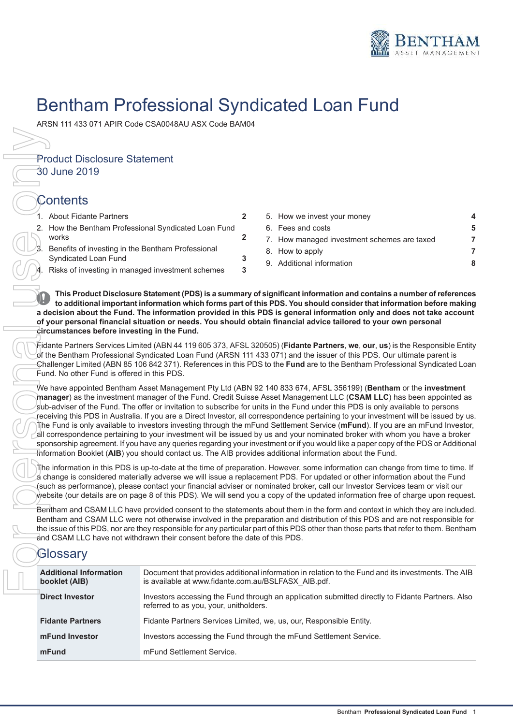

# Bentham Professional Syndicated Loan Fund

Product Disclosure Statement

30 June 2019

## **Contents**

| 1. About Fidante Partners                                                    |   |
|------------------------------------------------------------------------------|---|
| 2. How the Bentham Professional Syndicated Loan Fund<br>works                |   |
| 3. Benefits of investing in the Bentham Professional<br>Syndicated Loan Fund | 3 |
| 4. Risks of investing in managed investment schemes                          | 3 |

| 1. About Fidante Partners                            |  | 5. How we invest your money                 |   |
|------------------------------------------------------|--|---------------------------------------------|---|
| 2. How the Bentham Professional Syndicated Loan Fund |  | 6. Fees and costs                           | 5 |
| works                                                |  | 7. How managed investment schemes are taxed |   |
| 3. Benefits of investing in the Bentham Professional |  | 8. How to apply                             |   |
| Syndicated Loan Fund                                 |  | 9. Additional information                   | 8 |
| 4 Risks of investing in managed investment schemes   |  |                                             |   |

**This Product Disclosure Statement (PDS) is a summary of significant information and contains a number of references to additional important information which forms part of this PDS. You should consider that information before making a decision about the Fund. The information provided in this PDS is general information only and does not take account of your personal financial situation or needs. You should obtain financial advice tailored to your own personal circumstances before investing in the Fund.**

Fidante Partners Services Limited (ABN 44 119 605 373, AFSL 320505) (**Fidante Partners**, **we**, **our**, **us**) is the Responsible Entity of the Bentham Professional Syndicated Loan Fund (ARSN 111 433 071) and the issuer of this PDS. Our ultimate parent is Challenger Limited (ABN 85 106 842 371). References in this PDS to the **Fund** are to the Bentham Professional Syndicated Loan Fund. No other Fund is offered in this PDS.

We have appointed Bentham Asset Management Pty Ltd (ABN 92 140 833 674, AFSL 356199) (**Bentham** or the **investment manager**) as the investment manager of the Fund. Credit Suisse Asset Management LLC (**CSAM LLC**) has been appointed as sub-adviser of the Fund. The offer or invitation to subscribe for units in the Fund under this PDS is only available to persons receiving this PDS in Australia. If you are a Direct Investor, all correspondence pertaining to your investment will be issued by us. The Fund is only available to investors investing through the mFund Settlement Service (**mFund**). If you are an mFund Investor, all correspondence pertaining to your investment will be issued by us and your nominated broker with whom you have a broker sponsorship agreement. If you have any queries regarding your investment or if you would like a paper copy of the PDS or Additional Information Booklet (**AIB**) you should contact us. The AIB provides additional information about the Fund.

The information in this PDS is up-to-date at the time of preparation. However, some information can change from time to time. If a change is considered materially adverse we will issue a replacement PDS. For updated or other information about the Fund (such as performance), please contact your financial adviser or nominated broker, call our Investor Services team or visit our website (our details are on page 8 of this PDS). We will send you a copy of the updated information free of charge upon request.

Bentham and CSAM LLC have provided consent to the statements about them in the form and context in which they are included. Bentham and CSAM LLC were not otherwise involved in the preparation and distribution of this PDS and are not responsible for the issue of this PDS, nor are they responsible for any particular part of this PDS other than those parts that refer to them. Bentham and CSAM LLC have not withdrawn their consent before the date of this PDS.

## **Glossary**

| <b>Additional Information</b><br>booklet (AIB) | Document that provides additional information in relation to the Fund and its investments. The AIB<br>is available at www.fidante.com.au/BSLFASX AIB.pdf. |
|------------------------------------------------|-----------------------------------------------------------------------------------------------------------------------------------------------------------|
| <b>Direct Investor</b>                         | Investors accessing the Fund through an application submitted directly to Fidante Partners. Also<br>referred to as you, your, unitholders.                |
| <b>Fidante Partners</b>                        | Fidante Partners Services Limited, we, us, our, Responsible Entity.                                                                                       |
| mFund Investor                                 | Investors accessing the Fund through the mFund Settlement Service.                                                                                        |
| mFund                                          | mFund Settlement Service.                                                                                                                                 |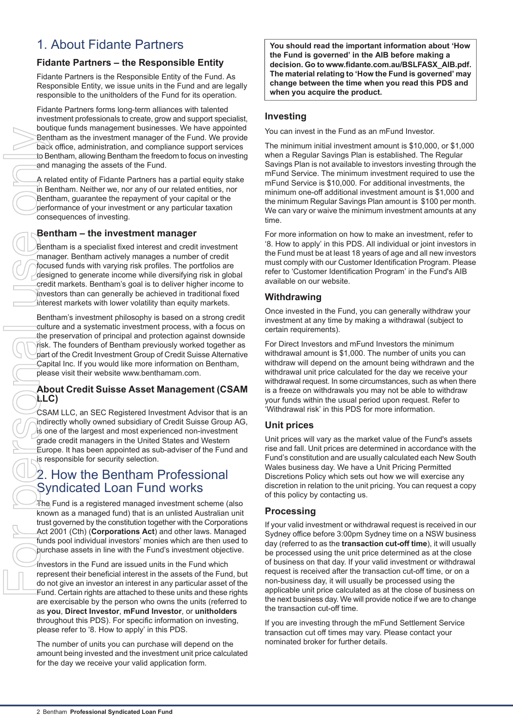## <span id="page-1-0"></span>1. About Fidante Partners

## **Fidante Partners – the Responsible Entity**

Fidante Partners is the Responsible Entity of the Fund. As Responsible Entity, we issue units in the Fund and are legally responsible to the unitholders of the Fund for its operation.

Fidante Partners forms long-term alliances with talented investment professionals to create, grow and support specialist, boutique funds management businesses. We have appointed Bentham as the investment manager of the Fund. We provide back office, administration, and compliance support services to Bentham, allowing Bentham the freedom to focus on investing and managing the assets of the Fund.

A related entity of Fidante Partners has a partial equity stake in Bentham. Neither we, nor any of our related entities, nor Bentham, guarantee the repayment of your capital or the performance of your investment or any particular taxation consequences of investing.

## **Bentham – the investment manager**

Bentham is a specialist fixed interest and credit investment manager. Bentham actively manages a number of credit focused funds with varying risk profiles. The portfolios are designed to generate income while diversifying risk in global credit markets. Bentham's goal is to deliver higher income to investors than can generally be achieved in traditional fixed interest markets with lower volatility than equity markets.

Bentham's investment philosophy is based on a strong credit culture and a systematic investment process, with a focus on the preservation of principal and protection against downside risk. The founders of Bentham previously worked together as part of the Credit Investment Group of Credit Suisse Alternative Capital Inc. If you would like more information on Bentham, please visit their website www.benthamam.com.

### **About Credit Suisse Asset Management (CSAM LLC)**

<span id="page-1-1"></span>CSAM LLC, an SEC Registered Investment Advisor that is an indirectly wholly owned subsidiary of Credit Suisse Group AG, is one of the largest and most experienced non-investment grade credit managers in the United States and Western Europe. It has been appointed as sub-adviser of the Fund and is responsible for security selection.

## 2. How the Bentham Professional Syndicated Loan Fund works

 $\overline{4}$ he Fund is a registered managed investment scheme (also known as a managed fund) that is an unlisted Australian unit trust governed by the constitution together with the Corporations Act 2001 (Cth) (**Corporations Act**) and other laws. Managed funds pool individual investors' monies which are then used to purchase assets in line with the Fund's investment objective.

Investors in the Fund are issued units in the Fund which represent their beneficial interest in the assets of the Fund, but do not give an investor an interest in any particular asset of the Fund. Certain rights are attached to these units and these rights are exercisable by the person who owns the units (referred to as **you**, **Direct Investor**, **mFund Investor**, or **unitholders** throughout this PDS). For specific information on investing, please refer to '8. How to apply' in this PDS.

The number of units you can purchase will depend on the amount being invested and the investment unit price calculated for the day we receive your valid application form.

**You should read the important information about 'How the Fund is governed' in the AIB before making a decision. Go to www.fidante.com.au/BSLFASX\_AIB.pdf. The material relating to 'How the Fund is governed' may change between the time when you read this PDS and when you acquire the product.**

### **Investing**

You can invest in the Fund as an mFund Investor.

The minimum initial investment amount is \$10,000, or \$1,000 when a Regular Savings Plan is established. The Regular Savings Plan is not available to investors investing through the mFund Service. The minimum investment required to use the mFund Service is \$10,000. For additional investments, the minimum one-off additional investment amount is \$1,000 and the minimum Regular Savings Plan amount is \$100 per month. We can vary or waive the minimum investment amounts at any time.

For more information on how to make an investment, refer to '8. How to apply' in this PDS. All individual or joint investors in the Fund must be at least 18 years of age and all new investors must comply with our Customer Identification Program. Please refer to 'Customer Identification Program' in the Fund's AIB available on our website.

## **Withdrawing**

Once invested in the Fund, you can generally withdraw your investment at any time by making a withdrawal (subject to certain requirements).

For Direct Investors and mFund Investors the minimum withdrawal amount is \$1,000. The number of units you can withdraw will depend on the amount being withdrawn and the withdrawal unit price calculated for the day we receive your withdrawal request. In some circumstances, such as when there is a freeze on withdrawals you may not be able to withdraw your funds within the usual period upon request. Refer to 'Withdrawal risk' in this PDS for more information.

### **Unit prices**

Unit prices will vary as the market value of the Fund's assets rise and fall. Unit prices are determined in accordance with the Fund's constitution and are usually calculated each New South Wales business day. We have a Unit Pricing Permitted Discretions Policy which sets out how we will exercise any discretion in relation to the unit pricing. You can request a copy of this policy by contacting us.

### **Processing**

If your valid investment or withdrawal request is received in our Sydney office before 3:00pm Sydney time on a NSW business day (referred to as the **transaction cut-off time**), it will usually be processed using the unit price determined as at the close of business on that day. If your valid investment or withdrawal request is received after the transaction cut-off time, or on a non-business day, it will usually be processed using the applicable unit price calculated as at the close of business on the next business day. We will provide notice if we are to change the transaction cut-off time.

If you are investing through the mFund Settlement Service transaction cut off times may vary. Please contact your nominated broker for further details.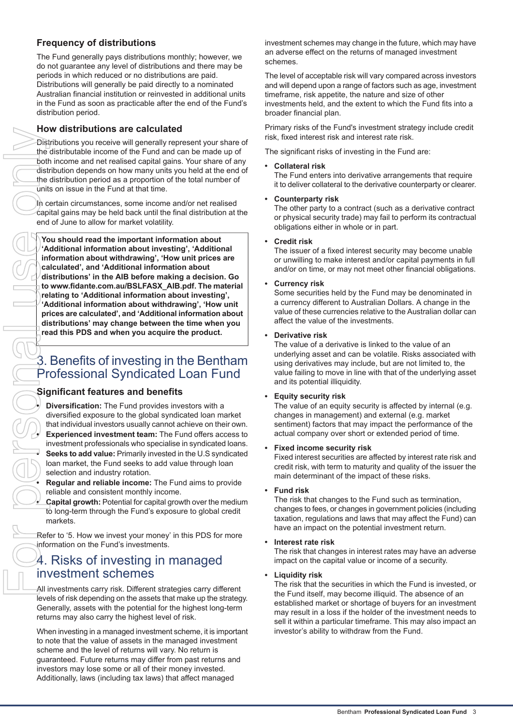## **Frequency of distributions**

The Fund generally pays distributions monthly; however, we do not guarantee any level of distributions and there may be periods in which reduced or no distributions are paid. Distributions will generally be paid directly to a nominated Australian financial institution or reinvested in additional units in the Fund as soon as practicable after the end of the Fund's distribution period.

### **How distributions are calculated**

Distributions you receive will generally represent your share of the distributable income of the Fund and can be made up of both income and net realised capital gains. Your share of any distribution depends on how many units you held at the end of the distribution period as a proportion of the total number of  $\bar{u}$ nits on issue in the Fund at that time.

In certain circumstances, some income and/or net realised capital gains may be held back until the final distribution at the end of June to allow for market volatility.

**You should read the important information about 'Additional information about investing', 'Additional information about withdrawing', 'How unit prices are calculated', and 'Additional information about distributions' in the AIB before making a decision. Go to www.fidante.com.au/BSLFASX\_AIB.pdf. The material relating to 'Additional information about investing', 'Additional information about withdrawing', 'How unit prices are calculated', and 'Additional information about distributions' may change between the time when you read this PDS and when you acquire the product.**

## <span id="page-2-0"></span>3. Benefits of investing in the Bentham Professional Syndicated Loan Fund

### **Significant features and benefits**

**Diversification:** The Fund provides investors with a diversified exposure to the global syndicated loan market that individual investors usually cannot achieve on their own. **Experienced investment team:** The Fund offers access to investment professionals who specialise in syndicated loans. **Seeks to add value:** Primarily invested in the U.S syndicated loan market, the Fund seeks to add value through loan selection and industry rotation.

**Regular and reliable income:** The Fund aims to provide reliable and consistent monthly income.

<span id="page-2-1"></span>**Capital growth:** Potential for capital growth over the medium to long-term through the Fund's exposure to global credit markets.

Refer to '5. How we invest your money' in this PDS for more information on the Fund's investments.

## 4. Risks of investing in managed investment schemes

All investments carry risk. Different strategies carry different levels of risk depending on the assets that make up the strategy. Generally, assets with the potential for the highest long-term returns may also carry the highest level of risk.

When investing in a managed investment scheme, it is important to note that the value of assets in the managed investment scheme and the level of returns will vary. No return is guaranteed. Future returns may differ from past returns and investors may lose some or all of their money invested. Additionally, laws (including tax laws) that affect managed

investment schemes may change in the future, which may have an adverse effect on the returns of managed investment schemes.

The level of acceptable risk will vary compared across investors and will depend upon a range of factors such as age, investment timeframe, risk appetite, the nature and size of other investments held, and the extent to which the Fund fits into a broader financial plan.

Primary risks of the Fund's investment strategy include credit risk, fixed interest risk and interest rate risk.

The significant risks of investing in the Fund are:

#### **Collateral risk**

The Fund enters into derivative arrangements that require it to deliver collateral to the derivative counterparty or clearer.

#### **Counterparty risk**

The other party to a contract (such as a derivative contract or physical security trade) may fail to perform its contractual obligations either in whole or in part.

#### **Credit risk**

The issuer of a fixed interest security may become unable or unwilling to make interest and/or capital payments in full and/or on time, or may not meet other financial obligations.

#### **Currency risk**

Some securities held by the Fund may be denominated in a currency different to Australian Dollars. A change in the value of these currencies relative to the Australian dollar can affect the value of the investments.

#### **Derivative risk**

The value of a derivative is linked to the value of an underlying asset and can be volatile. Risks associated with using derivatives may include, but are not limited to, the value failing to move in line with that of the underlying asset and its potential illiquidity.

#### **Equity security risk**

The value of an equity security is affected by internal (e.g. changes in management) and external (e.g. market sentiment) factors that may impact the performance of the actual company over short or extended period of time.

#### **Fixed income security risk**

Fixed interest securities are affected by interest rate risk and credit risk, with term to maturity and quality of the issuer the main determinant of the impact of these risks.

#### **Fund risk**

The risk that changes to the Fund such as termination, changes to fees, or changes in government policies (including taxation, regulations and laws that may affect the Fund) can have an impact on the potential investment return.

#### **Interest rate risk**

The risk that changes in interest rates may have an adverse impact on the capital value or income of a security.

#### **Liquidity risk**

The risk that the securities in which the Fund is invested, or the Fund itself, may become illiquid. The absence of an established market or shortage of buyers for an investment may result in a loss if the holder of the investment needs to sell it within a particular timeframe. This may also impact an investor's ability to withdraw from the Fund.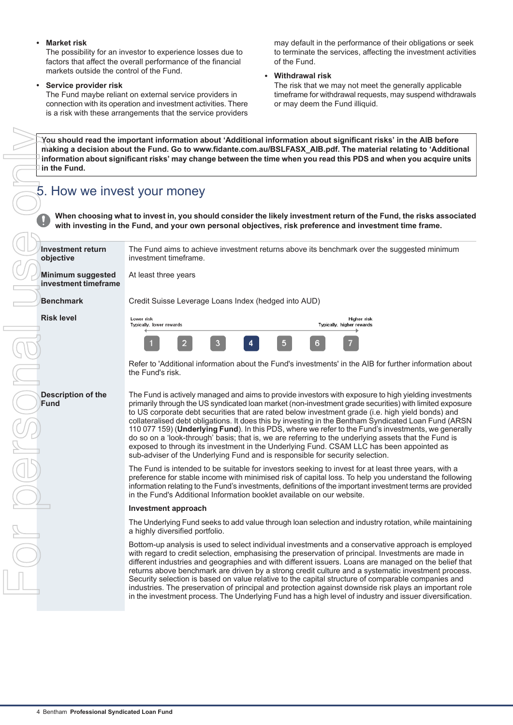#### **Market risk**

The possibility for an investor to experience losses due to factors that affect the overall performance of the financial markets outside the control of the Fund.

**Service provider risk**

The Fund maybe reliant on external service providers in connection with its operation and investment activities. There is a risk with these arrangements that the service providers

may default in the performance of their obligations or seek to terminate the services, affecting the investment activities of the Fund.

**Withdrawal risk**

The risk that we may not meet the generally applicable timeframe for withdrawal requests, may suspend withdrawals or may deem the Fund illiquid.

## <span id="page-3-0"></span>5. How we invest your money

| in the Fund.                                | You should read the important information about 'Additional information about significant risks' in the AIB before<br>making a decision about the Fund. Go to www.fidante.com.au/BSLFASX_AIB.pdf. The material relating to 'Additional<br>information about significant risks' may change between the time when you read this PDS and when you acquire units                                                                                                                                                                                                                                                                                                                                                                                                                                                              |
|---------------------------------------------|---------------------------------------------------------------------------------------------------------------------------------------------------------------------------------------------------------------------------------------------------------------------------------------------------------------------------------------------------------------------------------------------------------------------------------------------------------------------------------------------------------------------------------------------------------------------------------------------------------------------------------------------------------------------------------------------------------------------------------------------------------------------------------------------------------------------------|
| 5. How we invest your money                 | When choosing what to invest in, you should consider the likely investment return of the Fund, the risks associate<br>with investing in the Fund, and your own personal objectives, risk preference and investment time frame.                                                                                                                                                                                                                                                                                                                                                                                                                                                                                                                                                                                            |
| <b>Investment return</b><br>objective       | The Fund aims to achieve investment returns above its benchmark over the suggested minimum<br>investment timeframe.                                                                                                                                                                                                                                                                                                                                                                                                                                                                                                                                                                                                                                                                                                       |
| Minimum suggested<br>investment timeframe   | At least three years                                                                                                                                                                                                                                                                                                                                                                                                                                                                                                                                                                                                                                                                                                                                                                                                      |
| <b>Benchmark</b>                            | Credit Suisse Leverage Loans Index (hedged into AUD)                                                                                                                                                                                                                                                                                                                                                                                                                                                                                                                                                                                                                                                                                                                                                                      |
| <b>Risk level</b>                           | Lower risk<br>Higher risk<br>Typically, lower rewards<br>Typically, higher rewards                                                                                                                                                                                                                                                                                                                                                                                                                                                                                                                                                                                                                                                                                                                                        |
|                                             | 5<br>6<br>3                                                                                                                                                                                                                                                                                                                                                                                                                                                                                                                                                                                                                                                                                                                                                                                                               |
|                                             | Refer to 'Additional information about the Fund's investments' in the AIB for further information about<br>the Fund's risk.                                                                                                                                                                                                                                                                                                                                                                                                                                                                                                                                                                                                                                                                                               |
| <b>Description of the</b><br><b>Fund</b>    | The Fund is actively managed and aims to provide investors with exposure to high yielding investments<br>primarily through the US syndicated loan market (non-investment grade securities) with limited exposure<br>to US corporate debt securities that are rated below investment grade (i.e. high yield bonds) and<br>collateralised debt obligations. It does this by investing in the Bentham Syndicated Loan Fund (ARSN<br>110 077 159) (Underlying Fund). In this PDS, where we refer to the Fund's investments, we generally<br>do so on a 'look-through' basis; that is, we are referring to the underlying assets that the Fund is<br>exposed to through its investment in the Underlying Fund. CSAM LLC has been appointed as<br>sub-adviser of the Underlying Fund and is responsible for security selection. |
|                                             | The Fund is intended to be suitable for investors seeking to invest for at least three years, with a<br>preference for stable income with minimised risk of capital loss. To help you understand the following<br>information relating to the Fund's investments, definitions of the important investment terms are provided<br>in the Fund's Additional Information booklet available on our website.                                                                                                                                                                                                                                                                                                                                                                                                                    |
|                                             | Investment approach                                                                                                                                                                                                                                                                                                                                                                                                                                                                                                                                                                                                                                                                                                                                                                                                       |
|                                             | The Underlying Fund seeks to add value through loan selection and industry rotation, while maintaining<br>a highly diversified portfolio.                                                                                                                                                                                                                                                                                                                                                                                                                                                                                                                                                                                                                                                                                 |
|                                             | Bottom-up analysis is used to select individual investments and a conservative approach is employed<br>with regard to credit selection, emphasising the preservation of principal. Investments are made in<br>different industries and geographies and with different issuers. Loans are managed on the belief that<br>returns above benchmark are driven by a strong credit culture and a systematic investment process.<br>Security selection is based on value relative to the capital structure of comparable companies and<br>industries. The preservation of principal and protection against downside risk plays an important role<br>in the investment process. The Underlying Fund has a high level of industry and issuer diversification.                                                                      |
| 4 Bentham Professional Syndicated Loan Fund |                                                                                                                                                                                                                                                                                                                                                                                                                                                                                                                                                                                                                                                                                                                                                                                                                           |

#### **Investment approach**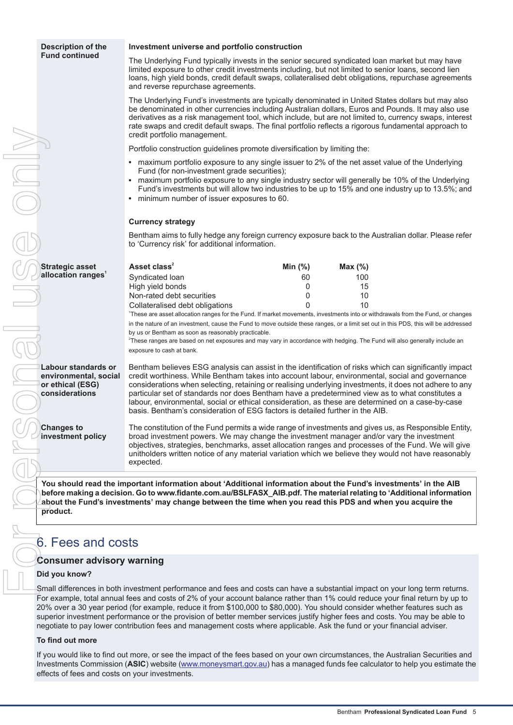**Strategic asset allocation ranges<sup>1</sup>**

**Labour standards or environmental, social or ethical (ESG) considerations**

**Changes to investment policy**

#### **Investment universe and portfolio construction**

The Underlying Fund typically invests in the senior secured syndicated loan market but may have limited exposure to other credit investments including, but not limited to senior loans, second lien loans, high yield bonds, credit default swaps, collateralised debt obligations, repurchase agreements and reverse repurchase agreements.

The Underlying Fund's investments are typically denominated in United States dollars but may also be denominated in other currencies including Australian dollars, Euros and Pounds. It may also use derivatives as a risk management tool, which include, but are not limited to, currency swaps, interest rate swaps and credit default swaps. The final portfolio reflects a rigorous fundamental approach to credit portfolio management.

Portfolio construction guidelines promote diversification by limiting the:

- $\bullet$ maximum portfolio exposure to any single issuer to 2% of the net asset value of the Underlying Fund (for non-investment grade securities);
- maximum portfolio exposure to any single industry sector will generally be 10% of the Underlying Fund's investments but will allow two industries to be up to 15% and one industry up to 13.5%; and
- minimum number of issuer exposures to 60.

#### **Currency strategy**

Bentham aims to fully hedge any foreign currency exposure back to the Australian dollar. Please refer to 'Currency risk' for additional information.

| Asset class <sup>2</sup>        | Min $(\%)$ | Max $(\%)$ |
|---------------------------------|------------|------------|
| Syndicated loan                 | 60         | 100        |
| High yield bonds                |            | 15         |
| Non-rated debt securities       |            | 10         |
| Collateralised debt obligations |            | 10         |

1 These are asset allocation ranges for the Fund. If market movements, investments into or withdrawals from the Fund, or changes in the nature of an investment, cause the Fund to move outside these ranges, or a limit set out in this PDS, this will be addressed by us or Bentham as soon as reasonably practicable.

2 These ranges are based on net exposures and may vary in accordance with hedging. The Fund will also generally include an exposure to cash at bank.

Bentham believes ESG analysis can assist in the identification of risks which can significantly impact credit worthiness. While Bentham takes into account labour, environmental, social and governance considerations when selecting, retaining or realising underlying investments, it does not adhere to any particular set of standards nor does Bentham have a predetermined view as to what constitutes a labour, environmental, social or ethical consideration, as these are determined on a case-by-case basis. Bentham's consideration of ESG factors is detailed further in the AIB.

The constitution of the Fund permits a wide range of investments and gives us, as Responsible Entity, broad investment powers. We may change the investment manager and/or vary the investment objectives, strategies, benchmarks, asset allocation ranges and processes of the Fund. We will give unitholders written notice of any material variation which we believe they would not have reasonably expected.

<span id="page-4-0"></span>**You should read the important information about 'Additional information about the Fund's investments' in the AIB before making a decision. Go to www.fidante.com.au/BSLFASX\_AIB.pdf. The material relating to 'Additional information about the Fund's investments' may change between the time when you read this PDS and when you acquire the product.**

## 6. Fees and costs

#### **Consumer advisory warning**

#### **Did you know?**

Small differences in both investment performance and fees and costs can have a substantial impact on your long term returns. For example, total annual fees and costs of 2% of your account balance rather than 1% could reduce your final return by up to 20% over a 30 year period (for example, reduce it from \$100,000 to \$80,000). You should consider whether features such as superior investment performance or the provision of better member services justify higher fees and costs. You may be able to negotiate to pay lower contribution fees and management costs where applicable. Ask the fund or your financial adviser.

#### **To find out more**

If you would like to find out more, or see the impact of the fees based on your own circumstances, the Australian Securities and Investments Commission (**ASIC**) website [\(www.moneysmart.gov.au](http://www.moneysmart.gov.au)) has a managed funds fee calculator to help you estimate the effects of fees and costs on your investments.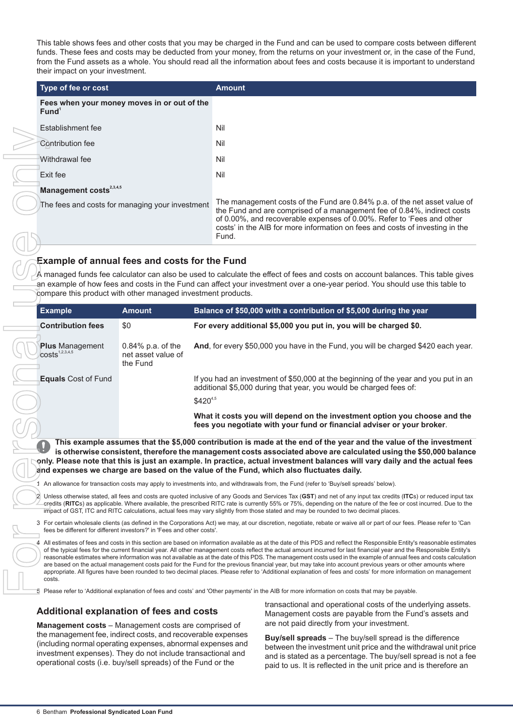This table shows fees and other costs that you may be charged in the Fund and can be used to compare costs between different funds. These fees and costs may be deducted from your money, from the returns on your investment or, in the case of the Fund, from the Fund assets as a whole. You should read all the information about fees and costs because it is important to understand their impact on your investment.

| Type of fee or cost                                              | <b>Amount</b>                                                                                                                                                                                                                                                                                                          |
|------------------------------------------------------------------|------------------------------------------------------------------------------------------------------------------------------------------------------------------------------------------------------------------------------------------------------------------------------------------------------------------------|
| Fees when your money moves in or out of the<br>Fund <sup>1</sup> |                                                                                                                                                                                                                                                                                                                        |
| Establishment fee                                                | Nil                                                                                                                                                                                                                                                                                                                    |
| Contribution fee                                                 | Nil                                                                                                                                                                                                                                                                                                                    |
| Withdrawal fee                                                   | Nil                                                                                                                                                                                                                                                                                                                    |
| Exit fee                                                         | Nil                                                                                                                                                                                                                                                                                                                    |
| Management costs <sup>2,3,4,5</sup>                              |                                                                                                                                                                                                                                                                                                                        |
| The fees and costs for managing your investment                  | The management costs of the Fund are 0.84% p.a. of the net asset value of<br>the Fund and are comprised of a management fee of 0.84%, indirect costs<br>of 0.00%, and recoverable expenses of 0.00%. Refer to 'Fees and other<br>costs' in the AIB for more information on fees and costs of investing in the<br>Fund. |

## **Example of annual fees and costs for the Fund**

| Establishment lee                                                                                                                                                                                                                                                                                                         |                                                        | INIL         |                                                                                                                                                                                                                                                                                                                                                                                                                                                                                                                                                                                                                                                                                                                                                                                                                                                             |  |  |  |
|---------------------------------------------------------------------------------------------------------------------------------------------------------------------------------------------------------------------------------------------------------------------------------------------------------------------------|--------------------------------------------------------|--------------|-------------------------------------------------------------------------------------------------------------------------------------------------------------------------------------------------------------------------------------------------------------------------------------------------------------------------------------------------------------------------------------------------------------------------------------------------------------------------------------------------------------------------------------------------------------------------------------------------------------------------------------------------------------------------------------------------------------------------------------------------------------------------------------------------------------------------------------------------------------|--|--|--|
| Contribution fee                                                                                                                                                                                                                                                                                                          |                                                        | Nil          |                                                                                                                                                                                                                                                                                                                                                                                                                                                                                                                                                                                                                                                                                                                                                                                                                                                             |  |  |  |
| Withdrawal fee                                                                                                                                                                                                                                                                                                            |                                                        | Nil          |                                                                                                                                                                                                                                                                                                                                                                                                                                                                                                                                                                                                                                                                                                                                                                                                                                                             |  |  |  |
| Exit fee                                                                                                                                                                                                                                                                                                                  |                                                        | Nil          |                                                                                                                                                                                                                                                                                                                                                                                                                                                                                                                                                                                                                                                                                                                                                                                                                                                             |  |  |  |
| Management costs <sup>2,3,4,5</sup>                                                                                                                                                                                                                                                                                       |                                                        |              |                                                                                                                                                                                                                                                                                                                                                                                                                                                                                                                                                                                                                                                                                                                                                                                                                                                             |  |  |  |
| The fees and costs for managing your investment                                                                                                                                                                                                                                                                           |                                                        | Fund.        | The management costs of the Fund are 0.84% p.a. of the net asset value of<br>the Fund and are comprised of a management fee of 0.84%, indirect costs<br>of 0.00%, and recoverable expenses of 0.00%. Refer to 'Fees and other<br>costs' in the AIB for more information on fees and costs of investing in the                                                                                                                                                                                                                                                                                                                                                                                                                                                                                                                                               |  |  |  |
|                                                                                                                                                                                                                                                                                                                           |                                                        |              |                                                                                                                                                                                                                                                                                                                                                                                                                                                                                                                                                                                                                                                                                                                                                                                                                                                             |  |  |  |
| <b>Example of annual fees and costs for the Fund</b><br>compare this product with other managed investment products.                                                                                                                                                                                                      |                                                        |              | A managed funds fee calculator can also be used to calculate the effect of fees and costs on account balances. This table gives<br>an example of how fees and costs in the Fund can affect your investment over a one-year period. You should use this table to                                                                                                                                                                                                                                                                                                                                                                                                                                                                                                                                                                                             |  |  |  |
| <b>Example</b>                                                                                                                                                                                                                                                                                                            | <b>Amount</b>                                          |              | Balance of \$50,000 with a contribution of \$5,000 during the year                                                                                                                                                                                                                                                                                                                                                                                                                                                                                                                                                                                                                                                                                                                                                                                          |  |  |  |
| <b>Contribution fees</b>                                                                                                                                                                                                                                                                                                  | \$0                                                    |              | For every additional \$5,000 you put in, you will be charged \$0.                                                                                                                                                                                                                                                                                                                                                                                                                                                                                                                                                                                                                                                                                                                                                                                           |  |  |  |
| <b>Plus</b> Management<br>costs <sup>1,2,3,4,5</sup>                                                                                                                                                                                                                                                                      | $0.84\%$ p.a. of the<br>net asset value of<br>the Fund |              | And, for every \$50,000 you have in the Fund, you will be charged \$420 each year.                                                                                                                                                                                                                                                                                                                                                                                                                                                                                                                                                                                                                                                                                                                                                                          |  |  |  |
| <b>Equals Cost of Fund</b>                                                                                                                                                                                                                                                                                                |                                                        |              | If you had an investment of \$50,000 at the beginning of the year and you put in an<br>additional \$5,000 during that year, you would be charged fees of:                                                                                                                                                                                                                                                                                                                                                                                                                                                                                                                                                                                                                                                                                                   |  |  |  |
|                                                                                                                                                                                                                                                                                                                           |                                                        | $$420^{4,5}$ |                                                                                                                                                                                                                                                                                                                                                                                                                                                                                                                                                                                                                                                                                                                                                                                                                                                             |  |  |  |
|                                                                                                                                                                                                                                                                                                                           |                                                        |              | What it costs you will depend on the investment option you choose and the<br>fees you negotiate with your fund or financial adviser or your broker.                                                                                                                                                                                                                                                                                                                                                                                                                                                                                                                                                                                                                                                                                                         |  |  |  |
|                                                                                                                                                                                                                                                                                                                           |                                                        |              | This example assumes that the \$5,000 contribution is made at the end of the year and the value of the investment<br>is otherwise consistent, therefore the management costs associated above are calculated using the \$50,000 balance<br>only. Please note that this is just an example. In practice, actual investment balances will vary daily and the actual fees<br>and expenses we charge are based on the value of the Fund, which also fluctuates daily.                                                                                                                                                                                                                                                                                                                                                                                           |  |  |  |
|                                                                                                                                                                                                                                                                                                                           |                                                        |              | 1 An allowance for transaction costs may apply to investments into, and withdrawals from, the Fund (refer to 'Buy/sell spreads' below).                                                                                                                                                                                                                                                                                                                                                                                                                                                                                                                                                                                                                                                                                                                     |  |  |  |
|                                                                                                                                                                                                                                                                                                                           |                                                        |              | Unless otherwise stated, all fees and costs are quoted inclusive of any Goods and Services Tax (GST) and net of any input tax credits (ITCs) or reduced input tax<br>credits (RITCs) as applicable. Where available, the prescribed RITC rate is currently 55% or 75%, depending on the nature of the fee or cost incurred. Due to the<br>impact of GST, ITC and RITC calculations, actual fees may vary slightly from those stated and may be rounded to two decimal places.                                                                                                                                                                                                                                                                                                                                                                               |  |  |  |
| fees be different for different investors?' in 'Fees and other costs'.                                                                                                                                                                                                                                                    |                                                        |              | 3 For certain wholesale clients (as defined in the Corporations Act) we may, at our discretion, negotiate, rebate or waive all or part of our fees. Please refer to 'Can                                                                                                                                                                                                                                                                                                                                                                                                                                                                                                                                                                                                                                                                                    |  |  |  |
| costs.                                                                                                                                                                                                                                                                                                                    |                                                        |              | 4 All estimates of fees and costs in this section are based on information available as at the date of this PDS and reflect the Responsible Entity's reasonable estimates<br>of the typical fees for the current financial year. All other management costs reflect the actual amount incurred for last financial year and the Responsible Entity's<br>reasonable estimates where information was not available as at the date of this PDS. The management costs used in the example of annual fees and costs calculation<br>are based on the actual management costs paid for the Fund for the previous financial year, but may take into account previous years or other amounts where<br>appropriate. All figures have been rounded to two decimal places. Please refer to 'Additional explanation of fees and costs' for more information on management |  |  |  |
|                                                                                                                                                                                                                                                                                                                           |                                                        |              | 5 Please refer to 'Additional explanation of fees and costs' and 'Other payments' in the AIB for more information on costs that may be payable.                                                                                                                                                                                                                                                                                                                                                                                                                                                                                                                                                                                                                                                                                                             |  |  |  |
| <b>Additional explanation of fees and costs</b>                                                                                                                                                                                                                                                                           |                                                        |              | transactional and operational costs of the underlying assets.<br>Management costs are payable from the Fund's assets and<br>are not paid directly from your investment.                                                                                                                                                                                                                                                                                                                                                                                                                                                                                                                                                                                                                                                                                     |  |  |  |
| <b>Management costs</b> – Management costs are comprised of<br>the management fee, indirect costs, and recoverable expenses<br>(including normal operating expenses, abnormal expenses and<br>investment expenses). They do not include transactional and<br>operational costs (i.e. buy/sell spreads) of the Fund or the |                                                        |              | Buy/sell spreads - The buy/sell spread is the difference<br>between the investment unit price and the withdrawal unit price<br>and is stated as a percentage. The buy/sell spread is not a fee<br>paid to us. It is reflected in the unit price and is therefore an                                                                                                                                                                                                                                                                                                                                                                                                                                                                                                                                                                                         |  |  |  |
| 6 Bentham Professional Syndicated Loan Fund                                                                                                                                                                                                                                                                               |                                                        |              |                                                                                                                                                                                                                                                                                                                                                                                                                                                                                                                                                                                                                                                                                                                                                                                                                                                             |  |  |  |

#### **Additional explanation of fees and costs**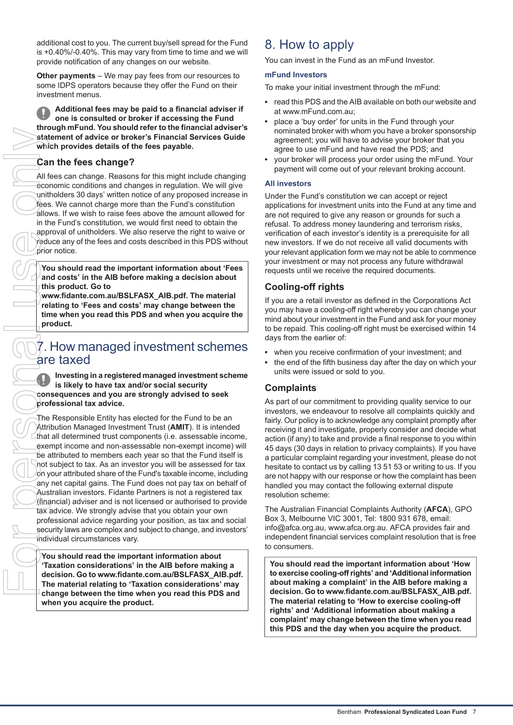additional cost to you. The current buy/sell spread for the Fund is +0.40%/-0.40%. This may vary from time to time and we will provide notification of any changes on our website.

**Other payments** – We may pay fees from our resources to some IDPS operators because they offer the Fund on their investment menus.

**Additional fees may be paid to a financial adviser if one is consulted or broker if accessing the Fund through mFund. You should refer to the financial adviser's statement of advice or broker's Financial Services Guide which provides details of the fees payable.**

## **Can the fees change?**

All fees can change. Reasons for this might include changing economic conditions and changes in regulation. We will give unitholders 30 days' written notice of any proposed increase in fees. We cannot charge more than the Fund's constitution allows. If we wish to raise fees above the amount allowed for in the Fund's constitution, we would first need to obtain the approval of unitholders. We also reserve the right to waive or reduce any of the fees and costs described in this PDS without prior notice.

**You should read the important information about 'Fees and costs' in the AIB before making a decision about this product. Go to**

<span id="page-6-0"></span>**www.fidante.com.au/BSLFASX\_AIB.pdf. The material relating to 'Fees and costs' may change between the time when you read this PDS and when you acquire the product.**

## 7. How managed investment schemes are taxed

**Investing in a registered managed investment scheme is likely to have tax and/or social security consequences and you are strongly advised to seek professional tax advice.**

The Responsible Entity has elected for the Fund to be an Attribution Managed Investment Trust (**AMIT**). It is intended  $L$ that all determined trust components (i.e. assessable income, exempt income and non-assessable non-exempt income) will be attributed to members each year so that the Fund itself is not subject to tax. As an investor you will be assessed for tax on your attributed share of the Fund's taxable income, including any net capital gains. The Fund does not pay tax on behalf of Australian investors. Fidante Partners is not a registered tax (financial) adviser and is not licensed or authorised to provide tax advice. We strongly advise that you obtain your own professional advice regarding your position, as tax and social security laws are complex and subject to change, and investors' individual circumstances vary.

**You should read the important information about 'Taxation considerations' in the AIB before making a decision. Go to www.fidante.com.au/BSLFASX\_AIB.pdf. The material relating to 'Taxation considerations' may change between the time when you read this PDS and when you acquire the product.**

## <span id="page-6-1"></span>8. How to apply

You can invest in the Fund as an mFund Investor.

#### **mFund Investors**

To make your initial investment through the mFund:

- read this PDS and the AIB available on both our website and at www.mFund.com.au;
- place a 'buy order' for units in the Fund through your nominated broker with whom you have a broker sponsorship agreement; you will have to advise your broker that you agree to use mFund and have read the PDS; and
- your broker will process your order using the mFund. Your payment will come out of your relevant broking account.

#### **All investors**

Under the Fund's constitution we can accept or reject applications for investment units into the Fund at any time and are not required to give any reason or grounds for such a refusal. To address money laundering and terrorism risks, verification of each investor's identity is a prerequisite for all new investors. If we do not receive all valid documents with your relevant application form we may not be able to commence your investment or may not process any future withdrawal requests until we receive the required documents.

## **Cooling-off rights**

If you are a retail investor as defined in the Corporations Act you may have a cooling-off right whereby you can change your mind about your investment in the Fund and ask for your money to be repaid. This cooling-off right must be exercised within 14 days from the earlier of:

- when you receive confirmation of your investment; and
- the end of the fifth business day after the day on which your units were issued or sold to you.

### **Complaints**

As part of our commitment to providing quality service to our investors, we endeavour to resolve all complaints quickly and fairly. Our policy is to acknowledge any complaint promptly after receiving it and investigate, properly consider and decide what action (if any) to take and provide a final response to you within 45 days (30 days in relation to privacy complaints). If you have a particular complaint regarding your investment, please do not hesitate to contact us by calling 13 51 53 or writing to us. If you are not happy with our response or how the complaint has been handled you may contact the following external dispute resolution scheme:

The Australian Financial Complaints Authority (**AFCA**), GPO Box 3, Melbourne VIC 3001, Tel: 1800 931 678, email: info@afca.org.au, www.afca.org.au. AFCA provides fair and independent financial services complaint resolution that is free to consumers.

**You should read the important information about 'How to exercise cooling-off rights' and 'Additional information about making a complaint' in the AIB before making a decision. Go to www.fidante.com.au/BSLFASX\_AIB.pdf. The material relating to 'How to exercise cooling-off rights' and 'Additional information about making a complaint' may change between the time when you read this PDS and the day when you acquire the product.**